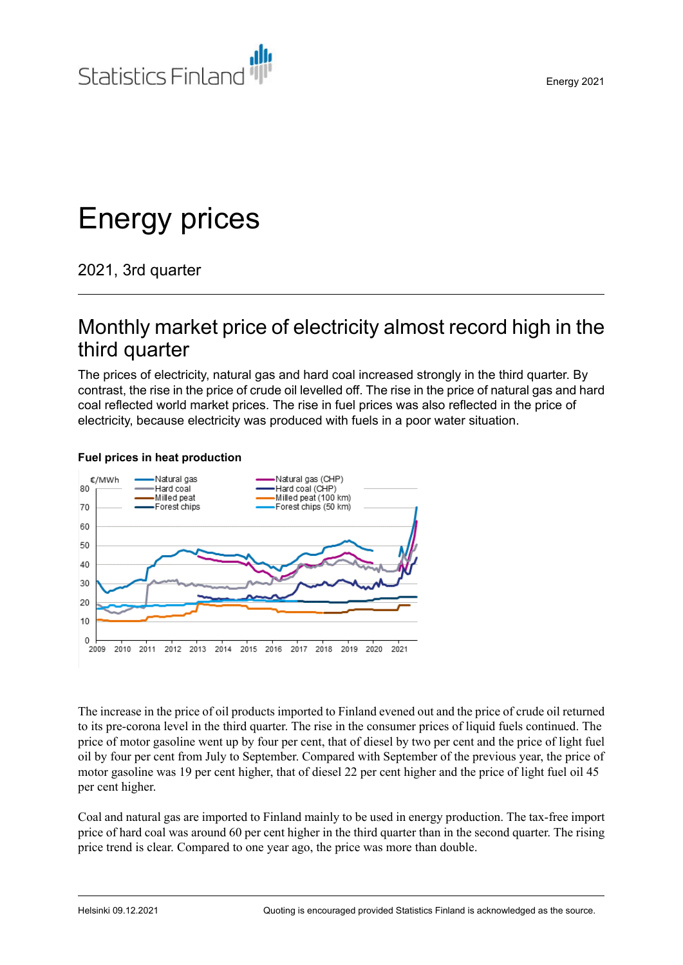Energy 2021



# Energy prices

2021, 3rd quarter

### Monthly market price of electricity almost record high in the third quarter

The prices of electricity, natural gas and hard coal increased strongly in the third quarter. By contrast, the rise in the price of crude oil levelled off. The rise in the price of natural gas and hard coal reflected world market prices. The rise in fuel prices was also reflected in the price of electricity, because electricity was produced with fuels in a poor water situation.

#### **Fuel prices in heat production**



The increase in the price of oil products imported to Finland evened out and the price of crude oil returned to its pre-corona level in the third quarter. The rise in the consumer prices of liquid fuels continued. The price of motor gasoline went up by four per cent, that of diesel by two per cent and the price of light fuel oil by four per cent from July to September. Compared with September of the previous year, the price of motor gasoline was 19 per cent higher, that of diesel 22 per cent higher and the price of light fuel oil 45 per cent higher.

Coal and natural gas are imported to Finland mainly to be used in energy production. The tax-free import price of hard coal was around 60 per cent higher in the third quarter than in the second quarter. The rising price trend is clear. Compared to one year ago, the price was more than double.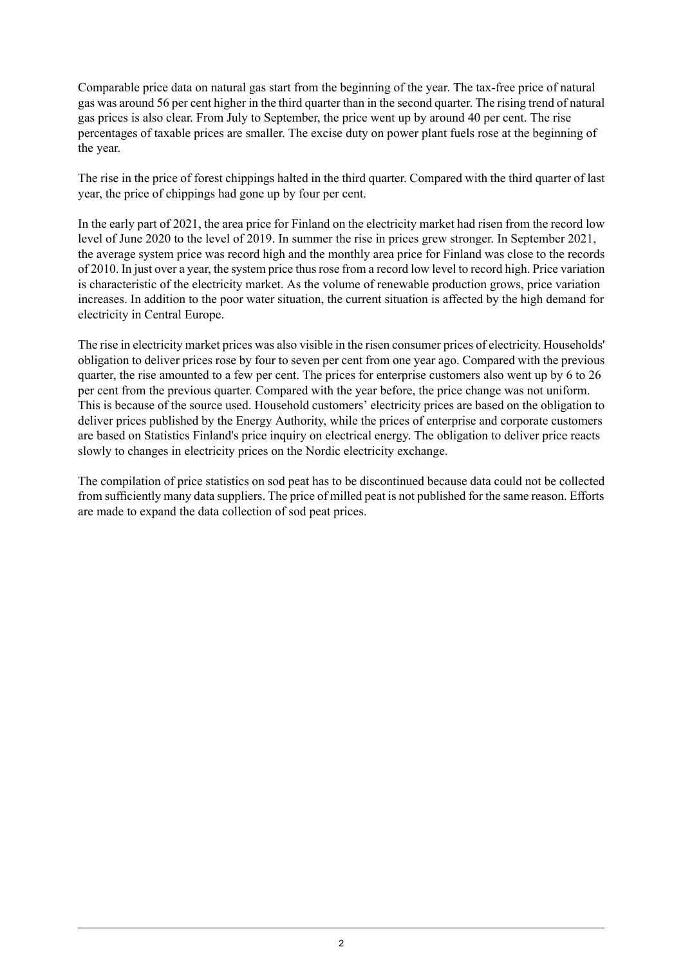Comparable price data on natural gas start from the beginning of the year. The tax-free price of natural gas was around 56 per cent higher in the third quarter than in the second quarter. The rising trend of natural gas prices is also clear. From July to September, the price went up by around 40 per cent. The rise percentages of taxable prices are smaller. The excise duty on power plant fuels rose at the beginning of the year.

The rise in the price of forest chippings halted in the third quarter. Compared with the third quarter of last year, the price of chippings had gone up by four per cent.

In the early part of 2021, the area price for Finland on the electricity market had risen from the record low level of June 2020 to the level of 2019. In summer the rise in prices grew stronger. In September 2021, the average system price was record high and the monthly area price for Finland was close to the records of 2010. In just over a year, the system price thusrose from a record low level to record high. Price variation is characteristic of the electricity market. As the volume of renewable production grows, price variation increases. In addition to the poor water situation, the current situation is affected by the high demand for electricity in Central Europe.

The rise in electricity market prices was also visible in the risen consumer prices of electricity. Households' obligation to deliver prices rose by four to seven per cent from one year ago. Compared with the previous quarter, the rise amounted to a few per cent. The prices for enterprise customers also went up by 6 to 26 per cent from the previous quarter. Compared with the year before, the price change was not uniform. This is because of the source used. Household customers' electricity prices are based on the obligation to deliver prices published by the Energy Authority, while the prices of enterprise and corporate customers are based on Statistics Finland's price inquiry on electrical energy. The obligation to deliver price reacts slowly to changes in electricity prices on the Nordic electricity exchange.

The compilation of price statistics on sod peat has to be discontinued because data could not be collected from sufficiently many data suppliers. The price of milled peat is not published for the same reason. Efforts are made to expand the data collection of sod peat prices.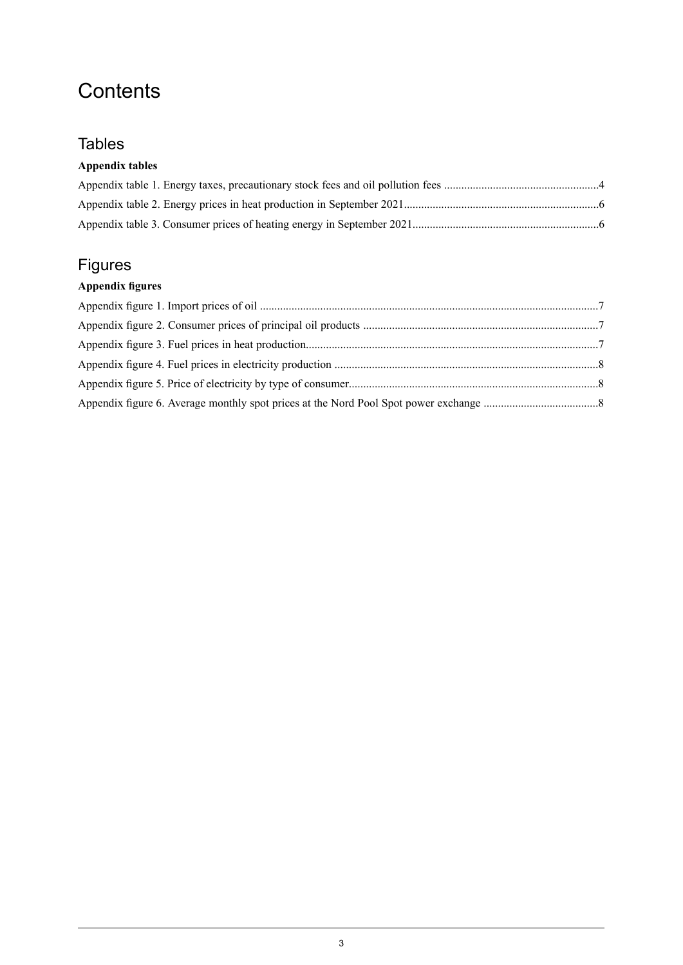## **Contents**

### **Tables**

### **Appendix tables**

### Figures

### **Appendix figures**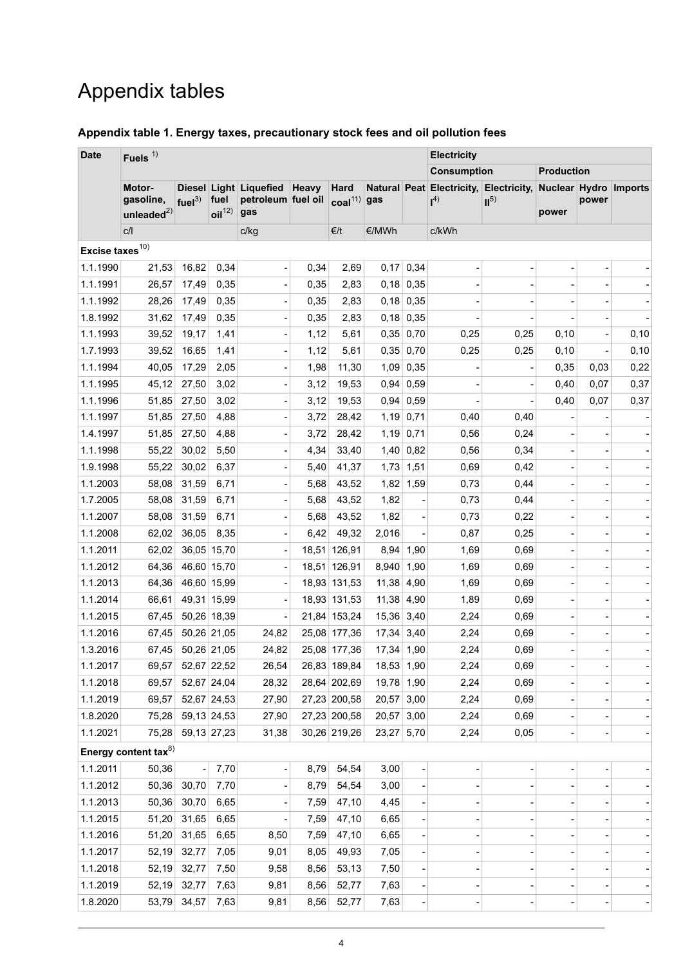## Appendix tables

<span id="page-3-0"></span>

|  |  |  |  | Appendix table 1. Energy taxes, precautionary stock fees and oil pollution fees |
|--|--|--|--|---------------------------------------------------------------------------------|
|--|--|--|--|---------------------------------------------------------------------------------|

| <b>Date</b>           | <b>Electricity</b><br>Fuels $1)$        |                   |                            |                                                     |       |                                        |              |             |                                                          |                 |                   |       |                          |
|-----------------------|-----------------------------------------|-------------------|----------------------------|-----------------------------------------------------|-------|----------------------------------------|--------------|-------------|----------------------------------------------------------|-----------------|-------------------|-------|--------------------------|
|                       |                                         |                   |                            |                                                     |       |                                        |              |             | <b>Consumption</b>                                       |                 | <b>Production</b> |       |                          |
|                       | Motor-<br>gasoline,<br>unleaded $^{2)}$ | fuel <sup>3</sup> | fuel<br>$\text{oil}^{12)}$ | Diesel Light Liquefied<br>petroleum fuel oil<br>gas | Heavy | <b>Hard</b><br>$\text{coal}^{11)}$ gas |              |             | Natural Peat Electricity, Electricity,<br>I <sup>4</sup> | II <sup>5</sup> | power             | power | Nuclear Hydro Imports    |
|                       | C/                                      |                   |                            | c/kg                                                |       | $\epsilon/t$                           | €/MWh        |             | c/kWh                                                    |                 |                   |       |                          |
| Excise taxes $^{10)}$ |                                         |                   |                            |                                                     |       |                                        |              |             |                                                          |                 |                   |       |                          |
| 1.1.1990              | 21,53                                   | 16,82             | 0,34                       |                                                     | 0,34  | 2,69                                   |              | $0,17$ 0,34 |                                                          |                 |                   |       |                          |
| 1.1.1991              | 26,57                                   | 17,49             | 0,35                       |                                                     | 0,35  | 2,83                                   |              | $0,18$ 0,35 |                                                          |                 |                   |       |                          |
| 1.1.1992              | 28,26                                   | 17,49             | 0,35                       |                                                     | 0,35  | 2,83                                   |              | $0,18$ 0,35 |                                                          |                 |                   |       |                          |
| 1.8.1992              | 31,62                                   | 17,49             | 0,35                       |                                                     | 0,35  | 2,83                                   |              | $0,18$ 0,35 |                                                          |                 |                   |       |                          |
| 1.1.1993              | 39,52                                   | 19,17             | 1,41                       |                                                     | 1,12  | 5,61                                   | 0,35         | 0,70        | 0,25                                                     | 0,25            | 0, 10             |       | 0, 10                    |
| 1.7.1993              | 39,52                                   | 16,65             | 1,41                       |                                                     | 1,12  | 5,61                                   |              | $0,35$ 0,70 | 0,25                                                     | 0,25            | 0, 10             |       | 0, 10                    |
| 1.1.1994              | 40,05                                   | 17,29             | 2,05                       |                                                     | 1,98  | 11,30                                  | 1,09         | 0,35        |                                                          |                 | 0,35              | 0,03  | 0,22                     |
| 1.1.1995              | 45,12                                   | 27,50             | 3,02                       |                                                     | 3,12  | 19,53                                  | 0,94         | 0,59        |                                                          |                 | 0,40              | 0,07  | 0,37                     |
| 1.1.1996              | 51,85                                   | 27,50             | 3,02                       |                                                     | 3,12  | 19,53                                  | 0,94         | 0,59        |                                                          |                 | 0,40              | 0,07  | 0,37                     |
| 1.1.1997              | 51,85                                   | 27,50             | 4,88                       |                                                     | 3,72  | 28,42                                  | 1,19         | 0,71        | 0,40                                                     | 0,40            |                   |       |                          |
| 1.4.1997              | 51,85                                   | 27,50             | 4,88                       |                                                     | 3,72  | 28,42                                  |              | $1,19$ 0,71 | 0,56                                                     | 0,24            |                   |       |                          |
| 1.1.1998              | 55,22                                   | 30,02             | 5,50                       |                                                     | 4,34  | 33,40                                  | 1,40         | 0,82        | 0,56                                                     | 0,34            | $\overline{a}$    |       |                          |
| 1.9.1998              | 55,22                                   | 30,02             | 6,37                       |                                                     | 5,40  | 41,37                                  | 1,73         | 1,51        | 0,69                                                     | 0,42            |                   |       |                          |
| 1.1.2003              | 58,08                                   | 31,59             | 6,71                       |                                                     | 5,68  | 43,52                                  | 1,82         | 1,59        | 0,73                                                     | 0,44            |                   |       |                          |
| 1.7.2005              | 58,08                                   | 31,59             | 6,71                       |                                                     | 5,68  | 43,52                                  | 1,82         |             | 0,73                                                     | 0,44            |                   |       | $\overline{\phantom{a}}$ |
| 1.1.2007              | 58,08                                   | 31,59             | 6,71                       |                                                     | 5,68  | 43,52                                  | 1,82         |             | 0,73                                                     | 0,22            |                   |       |                          |
| 1.1.2008              | 62,02                                   | 36,05             | 8,35                       |                                                     | 6,42  | 49,32                                  | 2,016        |             | 0,87                                                     | 0,25            |                   |       |                          |
| 1.1.2011              | 62,02                                   | 36,05 15,70       |                            |                                                     |       | 18,51 126,91                           | 8,94         | 1,90        | 1,69                                                     | 0,69            |                   |       |                          |
| 1.1.2012              | 64,36                                   |                   | 46,60 15,70                |                                                     |       | 18,51 126,91                           | 8,940        | 1,90        | 1,69                                                     | 0,69            |                   |       |                          |
| 1.1.2013              | 64,36                                   |                   | 46,60 15,99                |                                                     |       | 18,93 131,53                           | 11,38        | 4,90        | 1,69                                                     | 0,69            |                   |       | $\blacksquare$           |
| 1.1.2014              | 66,61                                   |                   | 49,31 15,99                |                                                     |       | 18,93 131,53                           | 11,38        | 4,90        | 1,89                                                     | 0,69            |                   |       |                          |
| 1.1.2015              | 67,45                                   |                   | 50,26 18,39                |                                                     |       | 21,84 153,24                           | 15,36        | 3,40        | 2,24                                                     | 0,69            |                   |       |                          |
| 1.1.2016              | 67,45                                   |                   | 50,26 21,05                | 24,82                                               |       | 25,08 177,36                           | 17,34        | 3,40        | 2,24                                                     | 0,69            |                   |       |                          |
| 1.3.2016              | 67,45                                   |                   | 50,26 21,05                | 24,82                                               |       | 25,08 177,36                           | 17,34        | 1,90        | 2,24                                                     | 0,69            | $\blacksquare$    |       | $\blacksquare$           |
| 1.1.2017              | 69,57                                   |                   | 52,67 22,52                | 26,54                                               |       | 26,83 189,84                           | $18,53$ 1,90 |             | 2,24                                                     | 0,69            |                   |       |                          |
| 1.1.2018              | 69,57                                   |                   | 52,67 24,04                | 28,32                                               |       | 28,64 202,69                           | $19,78$ 1,90 |             | 2,24                                                     | 0,69            |                   |       |                          |
| 1.1.2019              | 69,57                                   |                   | 52,67 24,53                | 27,90                                               |       | 27,23 200,58                           | 20,57        | 3,00        | 2,24                                                     | 0,69            |                   |       |                          |
| 1.8.2020              | 75,28<br>75,28                          |                   | 59,13 24,53<br>59,13 27,23 | 27,90<br>31,38                                      |       | 27,23 200,58<br>30,26 219,26           | $20,57$ 3,00 |             | 2,24<br>2,24                                             | 0,69            |                   |       |                          |
| 1.1.2021              |                                         |                   |                            |                                                     |       |                                        | 23,27        | 5,70        |                                                          | 0,05            |                   |       |                          |
|                       | Energy content tax <sup>8)</sup>        |                   |                            |                                                     |       |                                        |              |             |                                                          |                 |                   |       |                          |
| 1.1.2011              | 50,36                                   |                   | 7,70                       |                                                     | 8,79  | 54,54                                  | 3,00         |             |                                                          |                 |                   |       |                          |
| 1.1.2012              | 50,36                                   | 30,70             | 7,70                       |                                                     | 8,79  | 54,54                                  | 3,00         |             |                                                          |                 |                   |       |                          |
| 1.1.2013              | 50,36                                   | 30,70             | 6,65                       |                                                     | 7,59  | 47,10                                  | 4,45         |             |                                                          |                 |                   |       |                          |
| 1.1.2015              | 51,20                                   | 31,65             | 6,65                       |                                                     | 7,59  | 47,10                                  | 6,65         |             |                                                          |                 |                   |       |                          |
| 1.1.2016              | 51,20                                   | 31,65             | 6,65                       | 8,50                                                | 7,59  | 47,10                                  | 6,65         |             |                                                          |                 |                   |       |                          |
| 1.1.2017              | 52,19                                   | 32,77             | 7,05                       | 9,01                                                | 8,05  | 49,93                                  | 7,05         |             |                                                          |                 |                   |       |                          |
| 1.1.2018              | 52,19                                   | 32,77             | 7,50                       | 9,58                                                | 8,56  | 53,13                                  | 7,50         |             |                                                          |                 |                   |       |                          |
| 1.1.2019              | 52,19                                   | 32,77             | 7,63                       | 9,81                                                | 8,56  | 52,77                                  | 7,63         |             |                                                          |                 |                   |       |                          |
| 1.8.2020              | 53,79                                   | 34,57             | 7,63                       | 9,81                                                | 8,56  | 52,77                                  | 7,63         |             |                                                          |                 |                   |       |                          |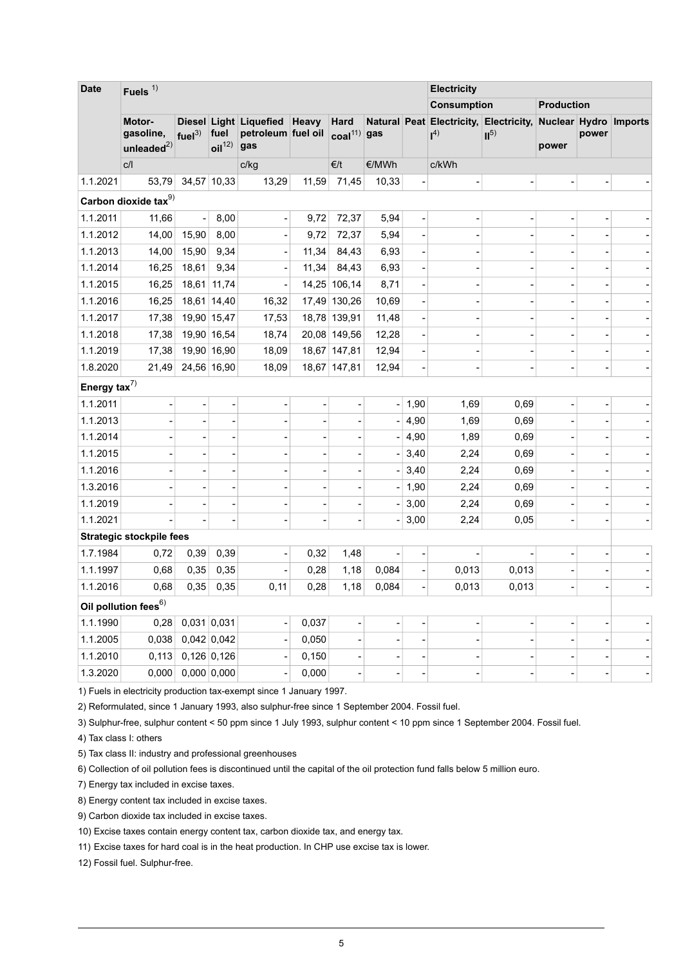| <b>Date</b>        | Fuels $1)$                              |                   |                            |                                                     |       | <b>Electricity</b>                     |                          |      |                    |                                                           |                              |       |                |
|--------------------|-----------------------------------------|-------------------|----------------------------|-----------------------------------------------------|-------|----------------------------------------|--------------------------|------|--------------------|-----------------------------------------------------------|------------------------------|-------|----------------|
|                    |                                         |                   |                            |                                                     |       |                                        |                          |      | <b>Consumption</b> |                                                           | <b>Production</b>            |       |                |
|                    | Motor-<br>gasoline,<br>unleaded $^{2)}$ | fuel <sup>3</sup> | fuel<br>$\text{oil}^{12)}$ | Diesel Light Liquefied<br>petroleum fuel oil<br>gas | Heavy | <b>Hard</b><br>$\text{coal}^{11)}$ gas |                          |      | I <sup>4</sup>     | Natural Peat Electricity, Electricity,<br>II <sup>5</sup> | Nuclear Hydro<br>power       | power | <b>Imports</b> |
|                    | C/                                      |                   |                            | c/kg                                                |       | E/t                                    | €/MWh                    |      | c/kWh              |                                                           |                              |       |                |
| 1.1.2021           | 53,79                                   |                   | $34,57$ 10,33              | 13,29                                               | 11,59 | 71,45                                  | 10,33                    |      |                    |                                                           |                              |       |                |
|                    | Carbon dioxide tax <sup>9)</sup>        |                   |                            |                                                     |       |                                        |                          |      |                    |                                                           |                              |       |                |
| 1.1.2011           | 11,66                                   | $\overline{a}$    | 8,00                       |                                                     | 9,72  | 72,37                                  | 5,94                     | ÷    | ÷                  |                                                           |                              |       |                |
| 1.1.2012           | 14,00                                   | 15,90             | 8,00                       |                                                     | 9,72  | 72,37                                  | 5,94                     |      |                    |                                                           |                              |       |                |
| 1.1.2013           | 14,00                                   | 15,90             | 9,34                       |                                                     | 11,34 | 84,43                                  | 6,93                     |      |                    |                                                           |                              |       |                |
| 1.1.2014           | 16,25                                   | 18,61             | 9,34                       |                                                     | 11,34 | 84,43                                  | 6,93                     |      |                    |                                                           |                              |       |                |
| 1.1.2015           | 16,25                                   | 18,61             | 11,74                      |                                                     |       | 14,25 106,14                           | 8,71                     |      |                    |                                                           |                              |       |                |
| 1.1.2016           | 16,25                                   |                   | 18,61 14,40                | 16,32                                               |       | 17,49 130,26                           | 10,69                    |      |                    |                                                           |                              |       |                |
| 1.1.2017           | 17,38                                   |                   | 19,90 15,47                | 17,53                                               |       | 18,78 139,91                           | 11,48                    |      |                    |                                                           |                              |       |                |
| 1.1.2018           | 17,38                                   |                   | 19,90 16,54                | 18,74                                               |       | 20,08 149,56                           | 12,28                    |      |                    |                                                           |                              |       |                |
| 1.1.2019           | 17,38                                   |                   | 19,90 16,90                | 18,09                                               |       | 18,67 147,81                           | 12,94                    |      |                    |                                                           |                              |       |                |
| 1.8.2020           | 21,49                                   |                   | 24,56 16,90                | 18,09                                               |       | 18,67 147,81                           | 12,94                    |      |                    |                                                           |                              |       |                |
| Energy tax $^{7)}$ |                                         |                   |                            |                                                     |       |                                        |                          |      |                    |                                                           |                              |       |                |
| 1.1.2011           |                                         |                   | ÷                          |                                                     |       |                                        | $\overline{\phantom{a}}$ | 1,90 | 1,69               | 0,69                                                      |                              |       |                |
| 1.1.2013           |                                         |                   |                            |                                                     |       |                                        |                          | 4,90 | 1,69               | 0,69                                                      |                              |       |                |
| 1.1.2014           |                                         |                   |                            |                                                     |       |                                        |                          | 4,90 | 1,89               | 0,69                                                      |                              |       |                |
| 1.1.2015           |                                         |                   |                            |                                                     |       |                                        |                          | 3,40 | 2,24               | 0,69                                                      |                              |       |                |
| 1.1.2016           |                                         |                   |                            |                                                     |       |                                        |                          | 3,40 | 2,24               | 0,69                                                      |                              |       |                |
| 1.3.2016           |                                         |                   |                            |                                                     |       |                                        |                          | 1,90 | 2,24               | 0,69                                                      |                              |       |                |
| 1.1.2019           |                                         | $\overline{a}$    | ÷                          |                                                     | ÷     |                                        |                          | 3,00 | 2,24               | 0,69                                                      |                              |       |                |
| 1.1.2021           |                                         |                   |                            |                                                     |       |                                        |                          | 3,00 | 2,24               | 0,05                                                      | $\qquad \qquad \blacksquare$ |       |                |
|                    | <b>Strategic stockpile fees</b>         |                   |                            |                                                     |       |                                        |                          |      |                    |                                                           |                              |       |                |
| 1.7.1984           | 0,72                                    | 0,39              | 0,39                       |                                                     | 0,32  | 1,48                                   |                          |      |                    |                                                           |                              |       |                |
| 1.1.1997           | 0,68                                    | 0,35              | 0,35                       |                                                     | 0,28  | 1,18                                   | 0,084                    |      | 0,013              | 0,013                                                     |                              |       |                |
| 1.1.2016           | 0,68                                    | 0,35              | 0,35                       | 0,11                                                | 0,28  | 1,18                                   | 0,084                    |      | 0,013              | 0,013                                                     |                              |       |                |
|                    | Oil pollution fees $^{6)}$              |                   |                            |                                                     |       |                                        |                          |      |                    |                                                           |                              |       |                |
| 1.1.1990           | 0,28                                    |                   | $0,031$ 0,031              |                                                     | 0,037 |                                        |                          |      |                    |                                                           |                              |       |                |
| 1.1.2005           | 0,038                                   |                   | $0,042$ 0,042              |                                                     | 0,050 |                                        |                          |      |                    |                                                           |                              |       |                |
| 1.1.2010           | 0,113                                   |                   | $0,126$ 0,126              |                                                     | 0,150 |                                        |                          |      |                    |                                                           |                              |       |                |
| 1.3.2020           | 0,000                                   |                   | $0,000$ 0.000              |                                                     | 0,000 |                                        |                          |      |                    |                                                           |                              |       |                |

1) Fuels in electricity production tax-exempt since 1 January 1997.

2) Reformulated, since 1 January 1993, also sulphur-free since 1 September 2004. Fossil fuel.

3) Sulphur-free, sulphur content < 50 ppm since 1 July 1993, sulphur content < 10 ppm since 1 September 2004. Fossil fuel.

4) Tax class I: others

5) Tax class II: industry and professional greenhouses

6) Collection of oil pollution fees is discontinued until the capital of the oil protection fund falls below 5 million euro.

7) Energy tax included in excise taxes.

8) Energy content tax included in excise taxes.

9) Carbon dioxide tax included in excise taxes.

10) Excise taxes contain energy content tax, carbon dioxide tax, and energy tax.

11) Excise taxes for hard coal is in the heat production. In CHP use excise tax is lower.

12) Fossil fuel. Sulphur-free.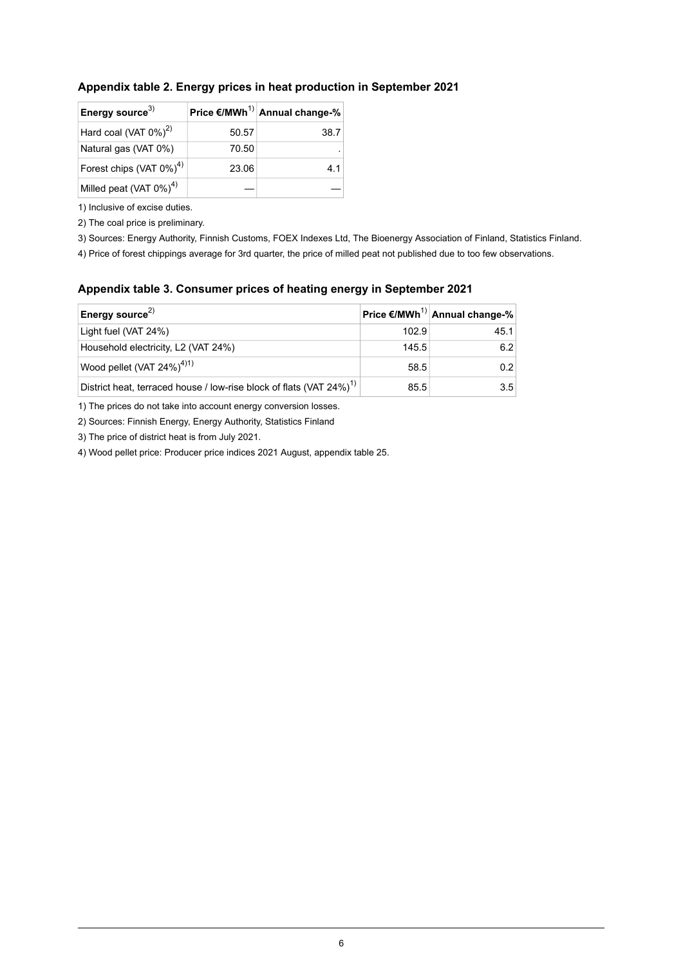| Energy source <sup>3)</sup>             |       | Price €/MWh <sup>1)</sup> Annual change-% |
|-----------------------------------------|-------|-------------------------------------------|
| Hard coal (VAT $0\%$ ) <sup>2)</sup>    | 50.57 | 38.7                                      |
| Natural gas (VAT 0%)                    | 70.50 |                                           |
| Forest chips (VAT $0\%$ ) <sup>4)</sup> | 23.06 | 4.1                                       |
| Milled peat (VAT 0%) <sup>4)</sup>      |       |                                           |

#### <span id="page-5-0"></span>**Appendix table 2. Energy prices in heat production in September 2021**

1) Inclusive of excise duties.

2) The coal price is preliminary.

3) Sources: Energy Authority, Finnish Customs, FOEX Indexes Ltd, The Bioenergy Association of Finland, Statistics Finland.

<span id="page-5-1"></span>4) Price of forest chippings average for 3rd quarter, the price of milled peat not published due to too few observations.

#### **Appendix table 3. Consumer prices of heating energy in September 2021**

| <b>Energy source</b> <sup>2)</sup>                                              |       | Price €/MWh <sup>1)</sup> Annual change-% |
|---------------------------------------------------------------------------------|-------|-------------------------------------------|
| Light fuel (VAT 24%)                                                            | 102.9 | 45.1                                      |
| Household electricity, L2 (VAT 24%)                                             | 145.5 | 6.2                                       |
| Wood pellet (VAT 24%) <sup>4)1)</sup>                                           | 58.5  | 0.2                                       |
| District heat, terraced house / low-rise block of flats (VAT 24%) <sup>1)</sup> | 85.5  | 3.5                                       |

1) The prices do not take into account energy conversion losses.

2) Sources: Finnish Energy, Energy Authority, Statistics Finland

3) The price of district heat is from July 2021.

4) Wood pellet price: Producer price indices 2021 August, appendix table 25.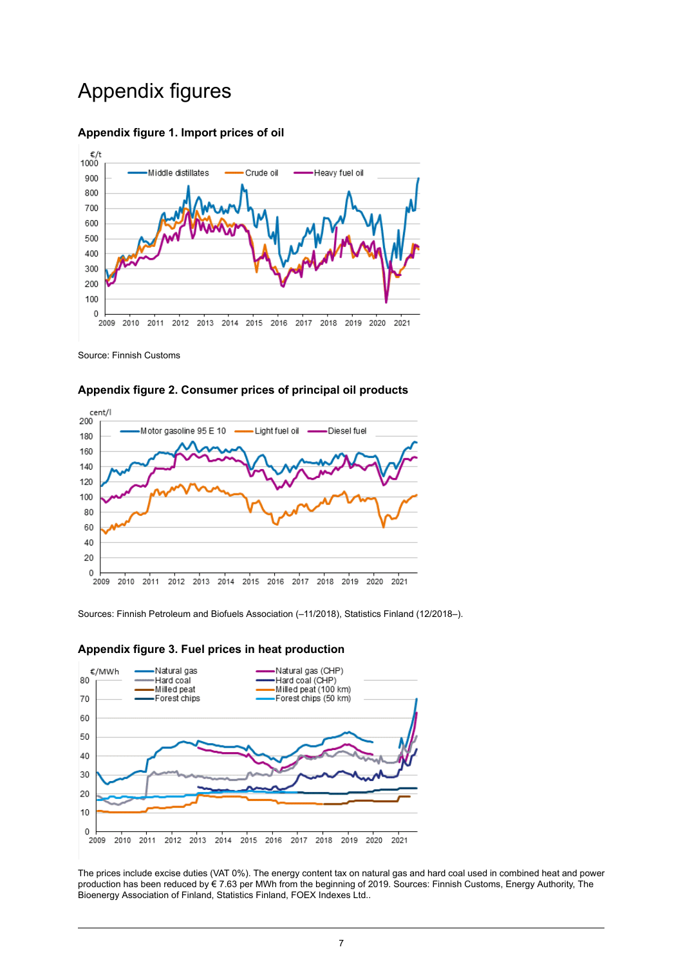### Appendix figures

#### <span id="page-6-0"></span>**Appendix figure 1. Import prices of oil**



<span id="page-6-1"></span>Source: Finnish Customs



<span id="page-6-2"></span>Sources: Finnish Petroleum and Biofuels Association (–11/2018), Statistics Finland (12/2018–).





The prices include excise duties (VAT 0%). The energy content tax on natural gas and hard coal used in combined heat and power production has been reduced by € 7.63 per MWh from the beginning of 2019. Sources: Finnish Customs, Energy Authority, The Bioenergy Association of Finland, Statistics Finland, FOEX Indexes Ltd..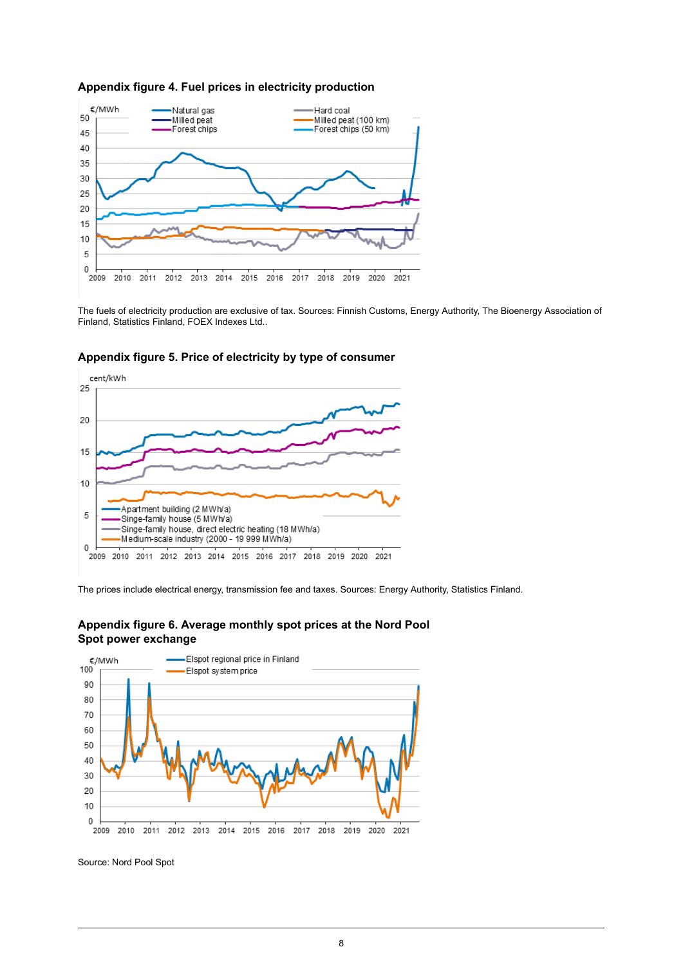<span id="page-7-0"></span>

<span id="page-7-1"></span>The fuels of electricity production are exclusive of tax. Sources: Finnish Customs, Energy Authority, The Bioenergy Association of Finland, Statistics Finland, FOEX Indexes Ltd..



#### **Appendix figure 5. Price of electricity by type of consumer**

<span id="page-7-2"></span>The prices include electrical energy, transmission fee and taxes. Sources: Energy Authority, Statistics Finland.

#### **Appendix figure 6. Average monthly spot prices at the Nord Pool Spot power exchange**



Source: Nord Pool Spot